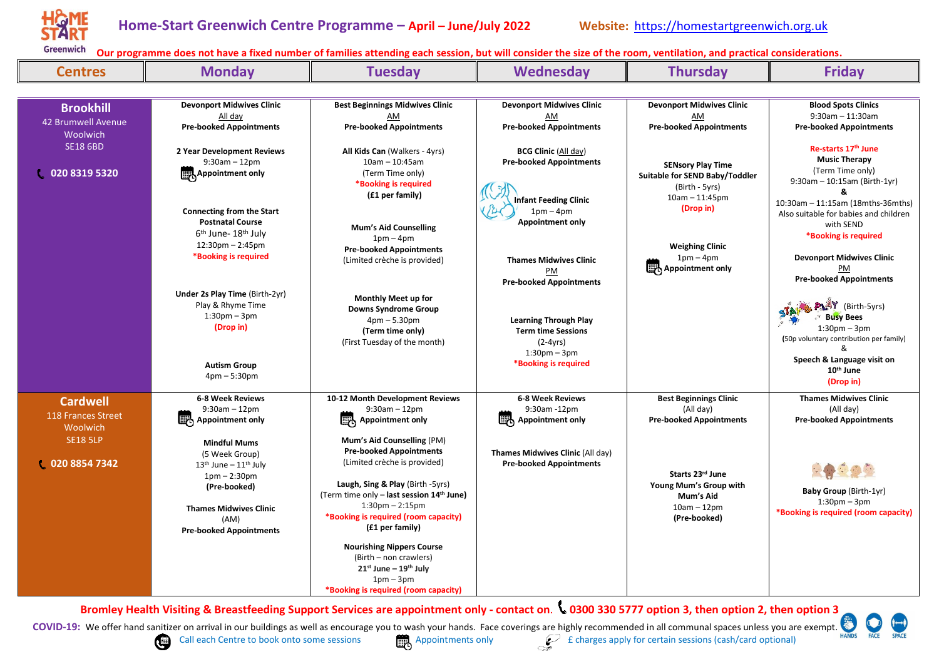

| <b>Centres</b>     | <b>Monday</b>                                  | <b>Tuesday</b>                                                                 | Wednesday                                                          | <b>Thursday</b>                      | <b>Friday</b>                                           |
|--------------------|------------------------------------------------|--------------------------------------------------------------------------------|--------------------------------------------------------------------|--------------------------------------|---------------------------------------------------------|
|                    |                                                |                                                                                |                                                                    |                                      |                                                         |
| <b>Brookhill</b>   | <b>Devonport Midwives Clinic</b>               | <b>Best Beginnings Midwives Clinic</b>                                         | <b>Devonport Midwives Clinic</b>                                   | <b>Devonport Midwives Clinic</b>     | <b>Blood Spots Clinics</b>                              |
| 42 Brumwell Avenue | All day<br><b>Pre-booked Appointments</b>      | AM<br><b>Pre-booked Appointments</b>                                           | AM<br><b>Pre-booked Appointments</b>                               | AM<br><b>Pre-booked Appointments</b> | $9:30$ am $-11:30$ am<br><b>Pre-booked Appointments</b> |
| Woolwich           |                                                |                                                                                |                                                                    |                                      |                                                         |
| <b>SE18 6BD</b>    | 2 Year Development Reviews                     | All Kids Can (Walkers - 4yrs)                                                  | <b>BCG Clinic (All day)</b>                                        |                                      | Re-starts 17th June                                     |
|                    | $9:30$ am $-12$ pm                             | $10am - 10:45am$                                                               | <b>Pre-booked Appointments</b>                                     | <b>SENsory Play Time</b>             | <b>Music Therapy</b>                                    |
| 020 8319 5320      | Appointment only                               | (Term Time only)<br>*Booking is required                                       |                                                                    | Suitable for SEND Baby/Toddler       | (Term Time only)<br>$9:30$ am - 10:15am (Birth-1yr)     |
|                    |                                                | (£1 per family)                                                                |                                                                    | (Birth - 5yrs)<br>$10am - 11:45pm$   | ጼ                                                       |
|                    | <b>Connecting from the Start</b>               |                                                                                | <b>Infant Feeding Clinic</b><br>$1pm-4pm$                          | (Drop in)                            | 10:30am - 11:15am (18mths-36mths)                       |
|                    | <b>Postnatal Course</b>                        | <b>Mum's Aid Counselling</b>                                                   | <b>Appointment only</b>                                            |                                      | Also suitable for babies and children<br>with SEND      |
|                    | 6 <sup>th</sup> June- 18 <sup>th</sup> July    | $1pm-4pm$                                                                      |                                                                    |                                      | *Booking is required                                    |
|                    | $12:30$ pm $- 2:45$ pm<br>*Booking is required | <b>Pre-booked Appointments</b>                                                 |                                                                    | <b>Weighing Clinic</b>               |                                                         |
|                    |                                                | (Limited crèche is provided)                                                   | <b>Thames Midwives Clinic</b><br>PM                                | $1pm-4pm$<br>Appointment only        | <b>Devonport Midwives Clinic</b><br>PM                  |
|                    |                                                |                                                                                | <b>Pre-booked Appointments</b>                                     |                                      | <b>Pre-booked Appointments</b>                          |
|                    | <b>Under 2s Play Time (Birth-2yr)</b>          | <b>Monthly Meet up for</b>                                                     |                                                                    |                                      |                                                         |
|                    | Play & Rhyme Time                              | <b>Downs Syndrome Group</b>                                                    |                                                                    |                                      | <b>PLAY</b> (Birth-5yrs)                                |
|                    | $1:30pm - 3pm$<br>(Drop in)                    | $4pm - 5.30pm$                                                                 | <b>Learning Through Play</b>                                       |                                      | <b>Busy Bees</b><br>$1:30pm - 3pm$                      |
|                    |                                                | (Term time only)<br>(First Tuesday of the month)                               | <b>Term time Sessions</b><br>$(2-4yrs)$                            |                                      | (50p voluntary contribution per family)                 |
|                    |                                                |                                                                                | $1:30pm - 3pm$                                                     |                                      |                                                         |
|                    | <b>Autism Group</b>                            |                                                                                | *Booking is required                                               |                                      | Speech & Language visit on<br>10 <sup>th</sup> June     |
|                    | $4pm - 5:30pm$                                 |                                                                                |                                                                    |                                      | (Drop in)                                               |
| <b>Cardwell</b>    | <b>6-8 Week Reviews</b>                        | 10-12 Month Development Reviews                                                | 6-8 Week Reviews                                                   | <b>Best Beginnings Clinic</b>        | <b>Thames Midwives Clinic</b>                           |
| 118 Frances Street | $9:30am - 12pm$                                | $9:30$ am $-12$ pm<br>Appointment only                                         | 9:30am -12pm<br>Appointment only                                   | (All day)                            | (All day)                                               |
| Woolwich           | Appointment only                               |                                                                                |                                                                    | <b>Pre-booked Appointments</b>       | <b>Pre-booked Appointments</b>                          |
| <b>SE18 5LP</b>    | <b>Mindful Mums</b>                            | Mum's Aid Counselling (PM)                                                     |                                                                    |                                      |                                                         |
| 020 8854 7342      | (5 Week Group)                                 | <b>Pre-booked Appointments</b><br>(Limited crèche is provided)                 | Thames Midwives Clinic (All day)<br><b>Pre-booked Appointments</b> |                                      |                                                         |
|                    | $13th$ June – $11th$ July<br>$1pm - 2:30pm$    |                                                                                |                                                                    | Starts 23rd June                     |                                                         |
|                    | (Pre-booked)                                   | Laugh, Sing & Play (Birth -5yrs)                                               |                                                                    | Young Mum's Group with               | Baby Group (Birth-1yr)                                  |
|                    |                                                | (Term time only - last session 14 <sup>th</sup> June)<br>$1:30$ pm $- 2:15$ pm |                                                                    | Mum's Aid<br>$10am - 12pm$           | $1:30pm - 3pm$                                          |
|                    | <b>Thames Midwives Clinic</b><br>(AM)          | *Booking is required (room capacity)                                           |                                                                    | (Pre-booked)                         | *Booking is required (room capacity)                    |
|                    | <b>Pre-booked Appointments</b>                 | (£1 per family)                                                                |                                                                    |                                      |                                                         |
|                    |                                                | <b>Nourishing Nippers Course</b>                                               |                                                                    |                                      |                                                         |
|                    |                                                | (Birth – non crawlers)                                                         |                                                                    |                                      |                                                         |
|                    |                                                | $21^{st}$ June – $19^{th}$ July<br>$1pm-3pm$                                   |                                                                    |                                      |                                                         |
|                    |                                                | *Booking is required (room capacity)                                           |                                                                    |                                      |                                                         |

**Bromley Health Visiting & Breastfeeding Support Services are appointment only - contact on**. **0300 330 5777 option 3, then option 2, then option 3**

**COVID-19:** We offer hand sanitizer on arrival in our buildings as well as encourage you to wash your hands. Face coverings are highly recommended in all communal spaces unless you are exempt.



Call each Centre to book onto some sessions Appointments only  $\mathcal{L}$  f charges apply for certain sessions (cash/card optional)

FACE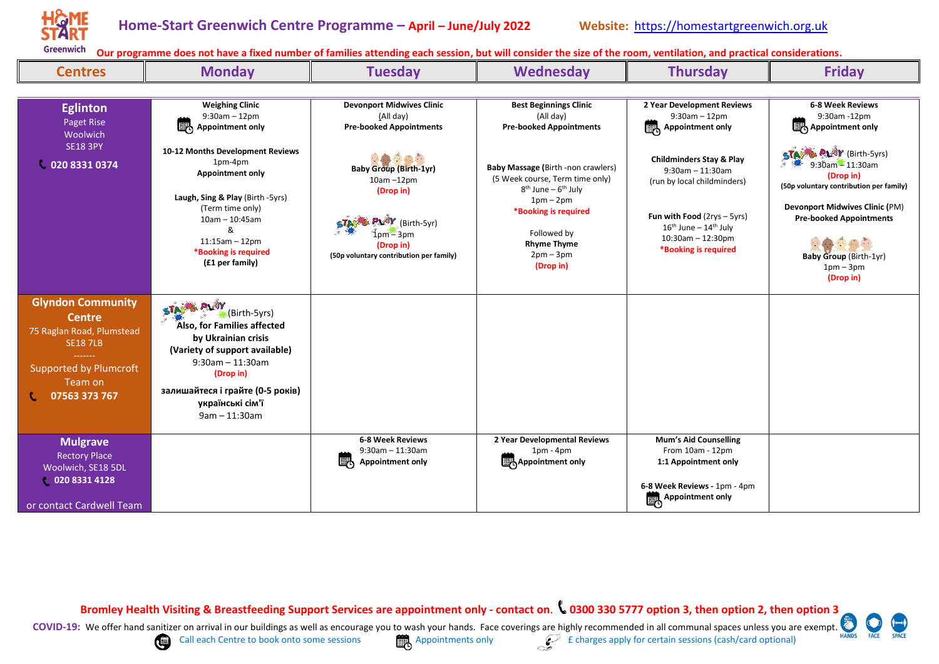

| <b>Centres</b>                                                                                                                                         | <b>Monday</b>                                                                                                                                                                                                                                 | <b>Tuesday</b>                                                                                                                                                        | Wednesday                                                                                                                                                                                            | <b>Thursday</b>                                                                                                                                                                                                  | <b>Friday</b>                                                                                                                                                                                                                           |
|--------------------------------------------------------------------------------------------------------------------------------------------------------|-----------------------------------------------------------------------------------------------------------------------------------------------------------------------------------------------------------------------------------------------|-----------------------------------------------------------------------------------------------------------------------------------------------------------------------|------------------------------------------------------------------------------------------------------------------------------------------------------------------------------------------------------|------------------------------------------------------------------------------------------------------------------------------------------------------------------------------------------------------------------|-----------------------------------------------------------------------------------------------------------------------------------------------------------------------------------------------------------------------------------------|
|                                                                                                                                                        |                                                                                                                                                                                                                                               |                                                                                                                                                                       |                                                                                                                                                                                                      |                                                                                                                                                                                                                  |                                                                                                                                                                                                                                         |
| <b>Eglinton</b><br>Paget Rise<br><b>Woolwich</b><br><b>SE18 3PY</b>                                                                                    | <b>Weighing Clinic</b><br>$9:30$ am $-12$ pm<br>喝<br><b>Appointment only</b>                                                                                                                                                                  | <b>Devonport Midwives Clinic</b><br>(All day)<br><b>Pre-booked Appointments</b>                                                                                       | <b>Best Beginnings Clinic</b><br>(All day)<br><b>Pre-booked Appointments</b>                                                                                                                         | 2 Year Development Reviews<br>$9:30am - 12pm$<br>喝<br><b>Appointment only</b>                                                                                                                                    | 6-8 Week Reviews<br>9:30am -12pm<br>Appointment only                                                                                                                                                                                    |
| 020 8331 0374                                                                                                                                          | 10-12 Months Development Reviews<br>1pm-4pm<br><b>Appointment only</b><br>Laugh, Sing & Play (Birth -5yrs)<br>(Term time only)<br>$10am - 10:45am$<br>&<br>$11:15am - 12pm$<br>*Booking is required<br>(£1 per family)                        | 0000<br><b>Baby Group (Birth-1yr)</b><br>$10am - 12pm$<br>(Drop in)<br><b>PLAY</b> (Birth-5yr)<br>$1pm - 3pm$<br>(Drop in)<br>(50p voluntary contribution per family) | Baby Massage (Birth -non crawlers)<br>(5 Week course, Term time only)<br>$8th$ June – $6th$ July<br>$1pm-2pm$<br>*Booking is required<br>Followed by<br><b>Rhyme Thyme</b><br>$2pm-3pm$<br>(Drop in) | <b>Childminders Stay &amp; Play</b><br>$9:30$ am - 11:30am<br>(run by local childminders)<br><b>Fun with Food</b> ( $2rys - 5yrs$ )<br>$16th$ June - $14th$ July<br>$10:30$ am - 12:30pm<br>*Booking is required | STANG PLAY (Birth-5yrs)<br>$9:30$ am $-11:30$ am<br>(Drop in)<br>(50p voluntary contribution per family)<br><b>Devonport Midwives Clinic (PM)</b><br><b>Pre-booked Appointments</b><br>90<br><b>Baby Group (Birth-1yr)</b><br>$1pm-3pm$ |
|                                                                                                                                                        |                                                                                                                                                                                                                                               |                                                                                                                                                                       |                                                                                                                                                                                                      |                                                                                                                                                                                                                  | (Drop in)                                                                                                                                                                                                                               |
| <b>Glyndon Community</b><br><b>Centre</b><br>75 Raglan Road, Plumstead<br><b>SE18 7LB</b><br><b>Supported by Plumcroft</b><br>Team on<br>07563 373 767 | <b>C. PLAY</b><br>STAY<br>(Birth-5yrs)<br>Also, for Families affected<br>by Ukrainian crisis<br>(Variety of support available)<br>$9:30$ am - 11:30am<br>(Drop in)<br>залишайтеся і грайте (0-5 років)<br>українські сім'ї<br>$9am - 11:30am$ |                                                                                                                                                                       |                                                                                                                                                                                                      |                                                                                                                                                                                                                  |                                                                                                                                                                                                                                         |
| <b>Mulgrave</b><br><b>Rectory Place</b><br>Woolwich, SE18 5DL<br>02083314128<br>or contact Cardwell Team                                               |                                                                                                                                                                                                                                               | <b>6-8 Week Reviews</b><br>$9:30$ am $-11:30$ am<br>喝<br><b>Appointment only</b>                                                                                      | 2 Year Developmental Reviews<br>$1pm - 4pm$<br>Appointment only                                                                                                                                      | Mum's Aid Counselling<br>From 10am - 12pm<br>1:1 Appointment only<br>6-8 Week Reviews - 1pm - 4pm<br>Appointment only                                                                                            |                                                                                                                                                                                                                                         |

**Bromley Health Visiting & Breastfeeding Support Services are appointment only - contact on**. **0300 330 5777 option 3, then option 2, then option 3**



Call each Centre to book onto some sessions Appointments only  $\mathcal{L}$  f charges apply for certain sessions (cash/card optional)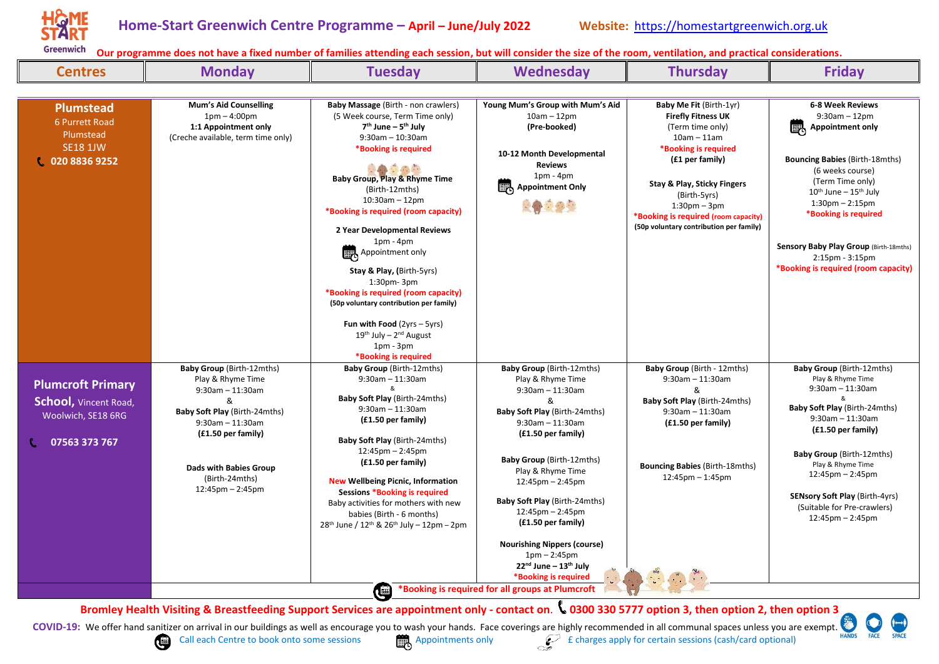

| <b>Centres</b>                                                                                  | <b>Monday</b>                                                                                                                                                                                                                                                   | <b>Tuesday</b>                                                                                                                                                                                                                                                                                                                                                                                                                                                                                                                                                                             | <b>Wednesday</b>                                                                                                                                                                                                                                                                                                                                                                                                                                                        | <b>Thursday</b>                                                                                                                                                                                                                                                                                     | <b>Friday</b>                                                                                                                                                                                                                                                                                                                                                         |
|-------------------------------------------------------------------------------------------------|-----------------------------------------------------------------------------------------------------------------------------------------------------------------------------------------------------------------------------------------------------------------|--------------------------------------------------------------------------------------------------------------------------------------------------------------------------------------------------------------------------------------------------------------------------------------------------------------------------------------------------------------------------------------------------------------------------------------------------------------------------------------------------------------------------------------------------------------------------------------------|-------------------------------------------------------------------------------------------------------------------------------------------------------------------------------------------------------------------------------------------------------------------------------------------------------------------------------------------------------------------------------------------------------------------------------------------------------------------------|-----------------------------------------------------------------------------------------------------------------------------------------------------------------------------------------------------------------------------------------------------------------------------------------------------|-----------------------------------------------------------------------------------------------------------------------------------------------------------------------------------------------------------------------------------------------------------------------------------------------------------------------------------------------------------------------|
|                                                                                                 |                                                                                                                                                                                                                                                                 |                                                                                                                                                                                                                                                                                                                                                                                                                                                                                                                                                                                            |                                                                                                                                                                                                                                                                                                                                                                                                                                                                         |                                                                                                                                                                                                                                                                                                     |                                                                                                                                                                                                                                                                                                                                                                       |
| <b>Plumstead</b><br>6 Purrett Road<br>Plumstead<br><b>SE18 1JW</b><br>020 8836 9252             | <b>Mum's Aid Counselling</b><br>$1pm - 4:00pm$<br>1:1 Appointment only<br>(Creche available, term time only)                                                                                                                                                    | <b>Baby Massage (Birth - non crawlers)</b><br>(5 Week course, Term Time only)<br>$7th$ June – $5th$ July<br>$9:30$ am $-10:30$ am<br>*Booking is required<br>고 유사<br><b>Baby Group, Play &amp; Rhyme Time</b><br>(Birth-12mths)<br>$10:30$ am $-12$ pm<br>*Booking is required (room capacity)<br>2 Year Developmental Reviews<br>$1pm - 4pm$<br>Appointment only<br>Stay & Play, (Birth-5yrs)<br>$1:30pm - 3pm$<br>*Booking is required (room capacity)<br>(50p voluntary contribution per family)<br><b>Fun with Food</b> ( $2yrs - 5yrs$ )<br>$19th$ July – $2nd$ August<br>$1pm - 3pm$ | Young Mum's Group with Mum's Aid<br>$10am - 12pm$<br>(Pre-booked)<br>10-12 Month Developmental<br><b>Reviews</b><br>$1pm - 4pm$<br>Appointment Only<br>2000                                                                                                                                                                                                                                                                                                             | Baby Me Fit (Birth-1yr)<br><b>Firefly Fitness UK</b><br>(Term time only)<br>$10am - 11am$<br>*Booking is required<br>(£1 per family)<br><b>Stay &amp; Play, Sticky Fingers</b><br>(Birth-5yrs)<br>$1:30pm - 3pm$<br>*Booking is required (room capacity)<br>(50p voluntary contribution per family) | 6-8 Week Reviews<br>$9:30$ am $-12$ pm<br>喝<br><b>Appointment only</b><br><b>Bouncing Babies (Birth-18mths)</b><br>(6 weeks course)<br>(Term Time only)<br>$10^{th}$ June – $15^{th}$ July<br>$1:30$ pm $- 2:15$ pm<br>*Booking is required<br>Sensory Baby Play Group (Birth-18mths)<br>$2:15$ pm - $3:15$ pm<br>*Booking is required (room capacity)                |
| <b>Plumcroft Primary</b><br><b>School, Vincent Road,</b><br>Woolwich, SE18 6RG<br>07563 373 767 | <b>Baby Group (Birth-12mths)</b><br>Play & Rhyme Time<br>$9:30$ am $-11:30$ am<br>ጼ<br>Baby Soft Play (Birth-24mths)<br>$9:30$ am $-11:30$ am<br>$(f1.50 \text{ per family})$<br>Dads with Babies Group<br>(Birth-24mths)<br>$12:45 \text{pm} - 2:45 \text{pm}$ | *Booking is required<br>Baby Group (Birth-12mths)<br>$9:30$ am $-11:30$ am<br>Baby Soft Play (Birth-24mths)<br>$9:30$ am $-11:30$ am<br>(£1.50 per family)<br>Baby Soft Play (Birth-24mths)<br>$12:45 \text{pm} - 2:45 \text{pm}$<br>(£1.50 per family)<br><b>New Wellbeing Picnic, Information</b><br>Sessions *Booking is required<br>Baby activities for mothers with new<br>babies (Birth - 6 months)<br>$28^{th}$ June / $12^{th}$ & $26^{th}$ July - $12$ pm - $2$ pm                                                                                                                | <b>Baby Group (Birth-12mths)</b><br>Play & Rhyme Time<br>$9:30$ am $-11:30$ am<br>Baby Soft Play (Birth-24mths)<br>$9:30$ am $-11:30$ am<br>(£1.50 per family)<br><b>Baby Group</b> (Birth-12mths)<br>Play & Rhyme Time<br>$12:45 \text{pm} - 2:45 \text{pm}$<br>Baby Soft Play (Birth-24mths)<br>$12:45 \text{pm} - 2:45 \text{pm}$<br>(£1.50 per family)<br><b>Nourishing Nippers (course)</b><br>$1pm - 2:45pm$<br>$22nd$ June - $13th$ July<br>*Booking is required | Baby Group (Birth - 12mths)<br>$9:30$ am $-11:30$ am<br>&<br><b>Baby Soft Play (Birth-24mths)</b><br>$9:30$ am $-11:30$ am<br>(£1.50 per family)<br><b>Bouncing Babies (Birth-18mths)</b><br>$12:45$ pm $-1:45$ pm                                                                                  | <b>Baby Group (Birth-12mths)</b><br>Play & Rhyme Time<br>$9:30$ am $-11:30$ am<br>R,<br>Baby Soft Play (Birth-24mths)<br>$9:30$ am $-11:30$ am<br>(£1.50 per family)<br><b>Baby Group</b> (Birth-12mths)<br>Play & Rhyme Time<br>$12:45$ pm $- 2:45$ pm<br><b>SENsory Soft Play (Birth-4yrs)</b><br>(Suitable for Pre-crawlers)<br>$12:45 \text{pm} - 2:45 \text{pm}$ |
|                                                                                                 |                                                                                                                                                                                                                                                                 |                                                                                                                                                                                                                                                                                                                                                                                                                                                                                                                                                                                            | <b>1999</b> *Booking is required for all groups at Plumcroft                                                                                                                                                                                                                                                                                                                                                                                                            |                                                                                                                                                                                                                                                                                                     |                                                                                                                                                                                                                                                                                                                                                                       |

**Bromley Health Visiting & Breastfeeding Support Services are appointment only - contact on**. **0300 330 5777 option 3, then option 2, then option 3**

**COVID-19:** We offer hand sanitizer on arrival in our buildings as well as encourage you to wash your hands. Face coverings are highly recommended in all communal spaces unless you are exempt.



Call each Centre to book onto some sessions Appointments only  $\mathcal{L}$  f charges apply for certain sessions (cash/card optional)

FACE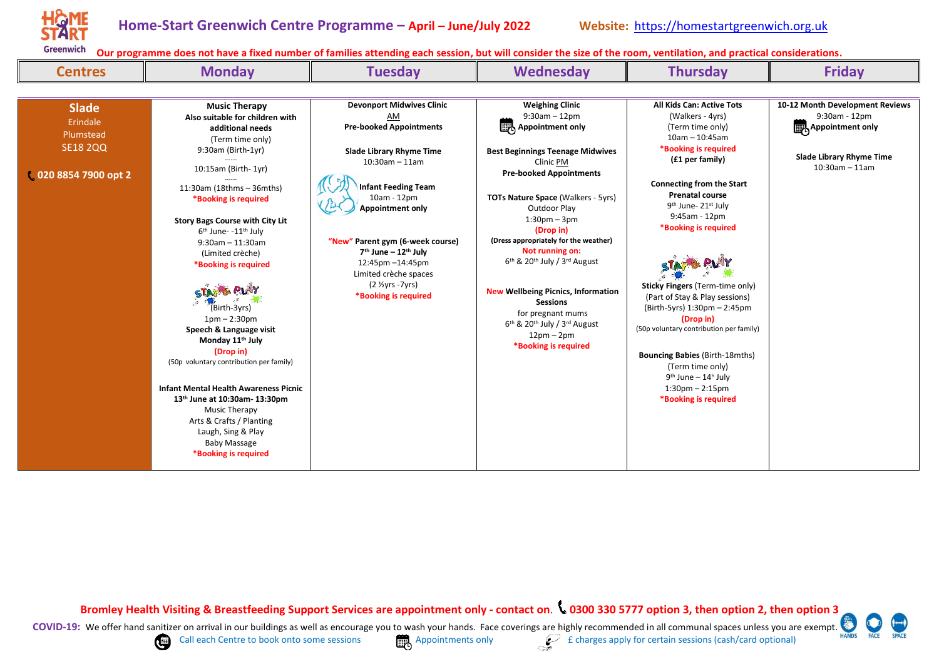

| <b>Centres</b>                                                                  | <b>Monday</b>                                                                                                                                                                                                                                                                                                                                                                                                                                                                                                                                                                                                                                                                                                          | <b>Tuesday</b>                                                                                                                                                                                                                                                                                                                                                                               | <b>Wednesday</b>                                                                                                                                                                                                                                                                                                                                                                                                                                                                                                                                                                        | <b>Thursday</b>                                                                                                                                                                                                                                                                                                                                                                                                                                                                                                                                                                                        | <b>Friday</b>                                                                                                         |
|---------------------------------------------------------------------------------|------------------------------------------------------------------------------------------------------------------------------------------------------------------------------------------------------------------------------------------------------------------------------------------------------------------------------------------------------------------------------------------------------------------------------------------------------------------------------------------------------------------------------------------------------------------------------------------------------------------------------------------------------------------------------------------------------------------------|----------------------------------------------------------------------------------------------------------------------------------------------------------------------------------------------------------------------------------------------------------------------------------------------------------------------------------------------------------------------------------------------|-----------------------------------------------------------------------------------------------------------------------------------------------------------------------------------------------------------------------------------------------------------------------------------------------------------------------------------------------------------------------------------------------------------------------------------------------------------------------------------------------------------------------------------------------------------------------------------------|--------------------------------------------------------------------------------------------------------------------------------------------------------------------------------------------------------------------------------------------------------------------------------------------------------------------------------------------------------------------------------------------------------------------------------------------------------------------------------------------------------------------------------------------------------------------------------------------------------|-----------------------------------------------------------------------------------------------------------------------|
|                                                                                 |                                                                                                                                                                                                                                                                                                                                                                                                                                                                                                                                                                                                                                                                                                                        |                                                                                                                                                                                                                                                                                                                                                                                              |                                                                                                                                                                                                                                                                                                                                                                                                                                                                                                                                                                                         |                                                                                                                                                                                                                                                                                                                                                                                                                                                                                                                                                                                                        |                                                                                                                       |
| <b>Slade</b><br>Erindale<br>Plumstead<br><b>SE18 2QQ</b><br>020 8854 7900 opt 2 | <b>Music Therapy</b><br>Also suitable for children with<br>additional needs<br>(Term time only)<br>9:30am (Birth-1yr)<br>10:15am (Birth- 1yr)<br>11:30am (18thms - 36mths)<br>*Booking is required<br><b>Story Bags Course with City Lit</b><br>6 <sup>th</sup> June- -11 <sup>th</sup> July<br>$9:30$ am - 11:30am<br>(Limited crèche)<br>*Booking is required<br>(Birth-3yrs)<br>$1pm - 2:30pm$<br>Speech & Language visit<br>Monday 11 <sup>th</sup> July<br>(Drop in)<br>(50p voluntary contribution per family)<br><b>Infant Mental Health Awareness Picnic</b><br>13th June at 10:30am-13:30pm<br>Music Therapy<br>Arts & Crafts / Planting<br>Laugh, Sing & Play<br><b>Baby Massage</b><br>*Booking is required | <b>Devonport Midwives Clinic</b><br>AM<br><b>Pre-booked Appointments</b><br>Slade Library Rhyme Time<br>$10:30$ am - 11am<br><b>Infant Feeding Team</b><br>$10am - 12pm$<br><b>Appointment only</b><br>"New" Parent gym (6-week course)<br>7 <sup>th</sup> June - 12 <sup>th</sup> July<br>12:45pm -14:45pm<br>Limited crèche spaces<br>$(2 \frac{1}{2} yrs - 7yrs)$<br>*Booking is required | <b>Weighing Clinic</b><br>$9:30$ am $-12$ pm<br>Appointment only<br><b>Best Beginnings Teenage Midwives</b><br>Clinic PM<br><b>Pre-booked Appointments</b><br><b>TOTs Nature Space (Walkers - 5yrs)</b><br>Outdoor Play<br>$1:30pm - 3pm$<br>(Drop in)<br>(Dress appropriately for the weather)<br>Not running on:<br>6 <sup>th</sup> & 20 <sup>th</sup> July / 3 <sup>rd</sup> August<br><b>New Wellbeing Picnics, Information</b><br><b>Sessions</b><br>for pregnant mums<br>6 <sup>th</sup> & 20 <sup>th</sup> July / 3 <sup>rd</sup> August<br>$12pm - 2pm$<br>*Booking is required | All Kids Can: Active Tots<br>(Walkers - 4yrs)<br>(Term time only)<br>$10am - 10:45am$<br>*Booking is required<br>(£1 per family)<br><b>Connecting from the Start</b><br><b>Prenatal course</b><br>9 <sup>th</sup> June- 21 <sup>st</sup> July<br>9:45am - 12pm<br>*Booking is required<br>Sticky Fingers (Term-time only)<br>(Part of Stay & Play sessions)<br>(Birth-5yrs) 1:30pm - 2:45pm<br>(Drop in)<br>(50p voluntary contribution per family)<br><b>Bouncing Babies (Birth-18mths)</b><br>(Term time only)<br>$9th$ June – 14 <sup>h</sup> July<br>$1:30$ pm $- 2:15$ pm<br>*Booking is required | 10-12 Month Development Reviews<br>9:30am - 12pm<br>Appointment only<br>Slade Library Rhyme Time<br>$10:30$ am - 11am |

**Bromley Health Visiting & Breastfeeding Support Services are appointment only - contact on**. **0300 330 5777 option 3, then option 2, then option 3**



**HANDS**